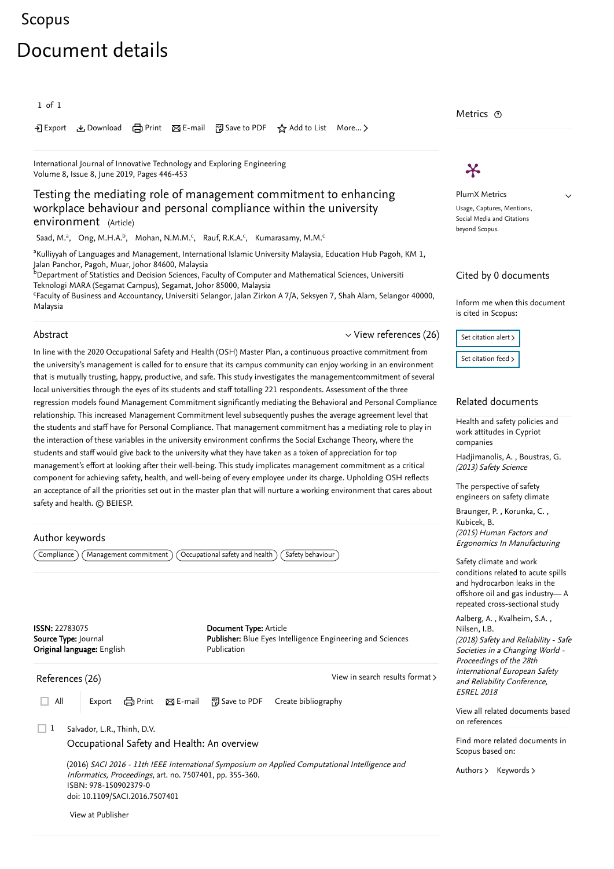## <span id="page-0-1"></span>[Scopus](https://www.scopus.com/home.uri?zone=header&origin=searchbasic) - Document details and details are detailed by the second details and details are details and details a

# Document details

#### 1 of 1

Export Download Print E-mail Save to PDF ⋆ Add to List More... ▻

[International Journal of Innovative Technology and Exploring Engineering](https://www.scopus.com/sourceid/21100889409?origin=recordpage) Volume 8, Issue 8, June 2019, Pages 446-453

### Testing the mediating role of management commitment to enhancing workplace behaviour and personal compliance within the university environment (Article)

[Saad, M.](https://www.scopus.com/authid/detail.uri?authorId=55370579000&eid=2-s2.0-85069874732)<sup>a</sup>, [Ong, M.H.A.](https://www.scopus.com/authid/detail.uri?authorId=57210184559&eid=2-s2.0-85069874732)<sup>b</sup>, [Mohan, N.M.M.](https://www.scopus.com/authid/detail.uri?authorId=57210189497&eid=2-s2.0-85069874732)<sup>c</sup>, [Rauf, R.K.A.](https://www.scopus.com/authid/detail.uri?authorId=57210185249&eid=2-s2.0-85069874732)<sup>c</sup>, [Kumarasamy, M.M.](https://www.scopus.com/authid/detail.uri?authorId=57210183792&eid=2-s2.0-85069874732)<sup>c</sup>

<sup>a</sup>Kulliyyah of Languages and Management, International Islamic University Malaysia, Education Hub Pagoh, KM 1, Jalan Panchor, Pagoh, Muar, Johor 84600, Malaysia

 $^{\rm b}$ Department of Statistics and Decision Sciences, Faculty of Computer and Mathematical Sciences, Universiti Teknologi MARA (Segamat Campus), Segamat, Johor 85000, Malaysia

<sup>c</sup>Faculty of Business and Accountancy, Universiti Selangor, Jalan Zirkon A 7/A, Seksyen 7, Shah Alam, Selangor 40000, Malaysia

#### Abstract

 $\vee$  [View references \(26\)](#page-0-0)

In line with the 2020 Occupational Safety and Health (OSH) Master Plan, a continuous proactive commitment from the university's management is called for to ensure that its campus community can enjoy working in an environment that is mutually trusting, happy, productive, and safe. This study investigates the managementcommitment of several local universities through the eyes of its students and staff totalling 221 respondents. Assessment of the three regression models found Management Commitment significantly mediating the Behavioral and Personal Compliance relationship. This increased Management Commitment level subsequently pushes the average agreement level that the students and staff have for Personal Compliance. That management commitment has a mediating role to play in the interaction of these variables in the university environment confirms the Social Exchange Theory, where the students and staff would give back to the university what they have taken as a token of appreciation for top management's effort at looking after their well-being. This study implicates management commitment as a critical component for achieving safety, health, and well-being of every employee under its charge. Upholding OSH reflects an acceptance of all the priorities set out in the master plan that will nurture a working environment that cares about safety and health. © BEIESP.

#### Author keywords

 $\Gamma(\textsf{Compliance})$  (Management commitment) (Occupational safety and health) (Safety behaviour

ISSN: 22783075 Source Type: Journal Original language: English Document Type: Article Publisher: Blue Eyes Intelligence Engineering and Sciences Publication

<span id="page-0-0"></span>References (26)

 $\Box$  All Export  $\Box$  Print  $\boxtimes$  E-mail  $\Box$  Save to PDF Create bibliography

[View in search results format](https://www.scopus.com/search/submit/references.uri?sort=plf-f&src=r&imp=t&sid=b859b0b438a0979e1911a7e134b57e48&sot=rec&sdt=citedreferences&sl=23&s=EID%282-s2.0-85069874732%29&origin=recordpage&citeCnt=1&citingId=2-s2.0-85069874732) >

Salvador, L.R., Thinh, D.V.  $\Box$  1

[Occupational Safety and Health: An overview](https://www.scopus.com/record/display.uri?eid=2-s2.0-84981314146&origin=reflist&recordRank=)

(2016) SACI 2016 - 11th IEEE International Symposium on Applied Computational Intelligence and Informatics, Proceedings, art. no. 7507401, pp. 355-360. ISBN: 978-150902379-0 doi: 10.1109/SACI.2016.7507401

[View at Publisher](https://www.scopus.com/redirect/linking.uri?targetURL=https%3a%2f%2fdoi.org%2f10.1109%2fSACI.2016.7507401&locationID=3&categoryID=4&eid=2-s2.0-84981314146&issn=&linkType=ViewAtPublisher&year=2016&origin=reflist&dig=6ccb60eb66d554f6c45794bf056b6035&recordRank=)

Metrics  $\, \circ \,$ 

# $\boldsymbol{\varkappa}$

PlumX Metrics Usage, Captures, Mentions, Social Media and Citations beyond Scopus.

 $\checkmark$ 

#### Cited by 0 documents

Inform me when this document is cited in Scopus:



#### Related documents

[Health and safety policies and](https://www.scopus.com/record/display.uri?origin=recordpage&zone=relatedDocuments&eid=2-s2.0-84868107112&noHighlight=false&relpos=0) work attitudes in Cypriot companies

, [Hadjimanolis, A.](https://www.scopus.com/authid/detail.uri?origin=recordpage&authorId=6602932446&zone=relatedDocuments) [Boustras, G.](https://www.scopus.com/authid/detail.uri?origin=recordpage&authorId=23003196400&zone=relatedDocuments) (2013) Safety Science

The perspective of safety [engineers on safety climate](https://www.scopus.com/record/display.uri?origin=recordpage&zone=relatedDocuments&eid=2-s2.0-84923092155&noHighlight=false&relpos=1)

Braunger,P., Korunka, C., (2015) Human Factors and Ergonomics In Manufacturing [Kubicek, B.](https://www.scopus.com/authid/detail.uri?origin=recordpage&authorId=30967566800&zone=relatedDocuments)

Safety climate and work conditions related to acute spills and hydrocarbon leaks in the [offshore oil and gas industry— A](https://www.scopus.com/record/display.uri?origin=recordpage&zone=relatedDocuments&eid=2-s2.0-85058103348&noHighlight=false&relpos=2) repeated cross-sectional study

[Aalberg, A.](https://www.scopus.com/authid/detail.uri?origin=recordpage&authorId=57201896418&zone=relatedDocuments) , Kvalheim, S.A. , (2018) Safety and Reliability - Safe Societies in a Changing World - Proceedings of the 28th International European Safety and Reliability Conference, ESREL 2018 [Nilsen, I.B.](https://www.scopus.com/authid/detail.uri?origin=recordpage&authorId=57132755100&zone=relatedDocuments)

[View all related documents based](https://www.scopus.com/search/submit/mlt.uri?eid=2-s2.0-85069874732&src=s&all=true&origin=recordpage&method=ref&zone=relatedDocuments) on references

Find more related documents in Scopus based on:

[Authors](https://www.scopus.com/search/submit/mlt.uri?eid=2-s2.0-85069874732&src=s&all=true&origin=recordpage&method=aut&zone=relatedDocuments) > [Keywords](https://www.scopus.com/search/submit/mlt.uri?eid=2-s2.0-85069874732&src=s&all=true&origin=recordpage&method=key&zone=relatedDocuments) >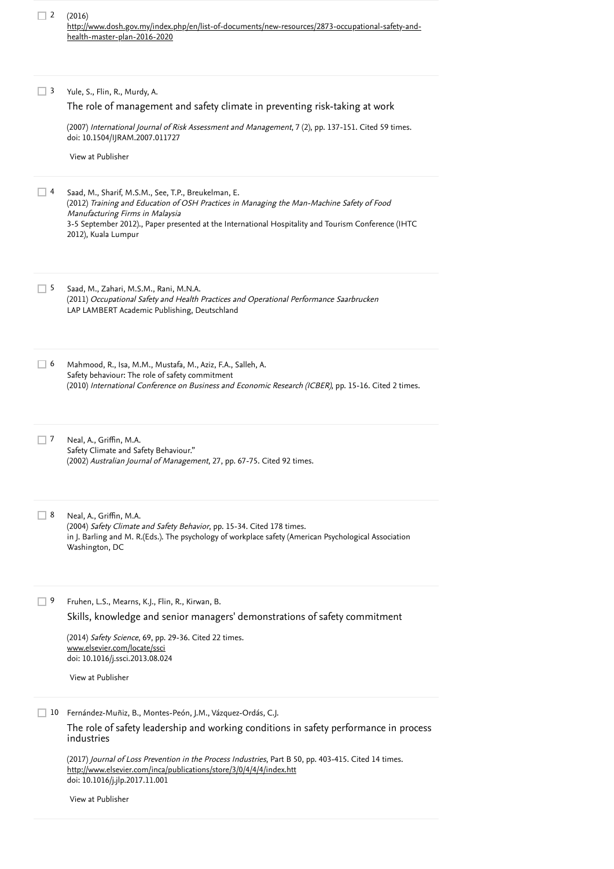| $\Box$ 2 (2016)                                                                                   |
|---------------------------------------------------------------------------------------------------|
| http://www.dosh.gov.my/index.php/en/list-of-documents/new-resources/2873-occupational-safety-and- |
| health-master-plan-2016-2020                                                                      |

Yule, S., Flin, R., Murdy, A. (2007) *International Journal of Risk Assessment and Management*, 7 (2), pp. 137-151. [Cited 59 times](https://www.scopus.com/search/submit/citedby.uri?eid=2-s2.0-85069874732&refeid=2-s2.0-33846610515&src=s&origin=reflist&refstat=core). doi: 10.1504/IJRAM.2007.011727 Saad, M., Sharif, M.S.M., See, T.P., Breukelman, E. 4 (2012) Training and Education of OSH Practices in Managing the Man-Machine Safety of Food Manufacturing Firms in Malaysia 3-5 September 2012)., Paper presented at the International Hospitality and Tourism Conference (IHTC 2012), Kuala Lumpur Saad, M., Zahari, M.S.M., Rani, M.N.A. (2011) Occupational Safety and Health Practices and Operational Performance Saarbrucken LAP LAMBERT Academic Publishing, Deutschland Mahmood, R., Isa, M.M., Mustafa, M., Aziz, F.A., Salleh, A. Safety behaviour: The role of safety commitment (2010) *International Conference on Business and Economic Research (ICBER)*, pp. 15-16. [Cited 2 times](https://www.scopus.com/search/submit/citedby.uri?eid=2-s2.0-85069874732&refeid=2-s2.0-85044551627&src=s&origin=reflist&refstat=dummy).<br>7 Neal, A., Griffin, M.A. Neal, A., Griffin, M.A. Safety Climate and Safety Behaviour." (2002) *Australian Journal of Management*, 27, pp. 67-75. [Cited 92 times](https://www.scopus.com/search/submit/citedby.uri?eid=2-s2.0-85069874732&refeid=2-s2.0-34548658045&src=s&origin=reflist&refstat=dummy).<br>B<br>R<br>R Real, A., Griffin, M.A.  $\Box$  8 Neal, A., Griffin, M.A. (2004) *Safety Climate and Safety Behavior*, pp. 15-34. [Cited 178 times](https://www.scopus.com/search/submit/citedby.uri?eid=2-s2.0-85069874732&refeid=2-s2.0-22444442052&src=s&origin=reflist&refstat=dummy). in J. Barling and M. R.(Eds.). The psychology of workplace safety (American Psychological Association Washington, DC Fruhen, L.S., Mearns, K.J., Flin, R., Kirwan, B. (2014) Safety Science, 69, pp. 29-36. [Cited 22 times](https://www.scopus.com/search/submit/citedby.uri?eid=2-s2.0-85069874732&refeid=2-s2.0-84903901680&src=s&origin=reflist&refstat=core). doi: 10.1016/j.ssci.2013.08.024 Fernández-Muñiz, B., Montes-Peón, J.M., Vázquez-Ordás, C.J. 10 (2017) Journal of Loss Prevention in the Process Industries, Part B 50, pp. 403-415. [Cited 14 times](https://www.scopus.com/search/submit/citedby.uri?eid=2-s2.0-85069874732&refeid=2-s2.0-85034846600&src=s&origin=reflist&refstat=core). doi: 10.1016/j.jlp.2017.11.001  $\Box$  3 [The role of management and safety climate in preventing risk-taking at work](https://www.scopus.com/record/display.uri?eid=2-s2.0-33846610515&origin=reflist&recordRank=) [View at Publisher](https://www.scopus.com/redirect/linking.uri?targetURL=https%3a%2f%2fdoi.org%2f10.1504%2fIJRAM.2007.011727&locationID=3&categoryID=4&eid=2-s2.0-33846610515&issn=14668297&linkType=ViewAtPublisher&year=2007&origin=reflist&dig=adc34b5cab1a0409dc73e14521b75afd&recordRank=)  $\Box$  5  $\Box$  6  $\Box$  9 [Skills, knowledge and senior managers' demonstrations of safety commitment](https://www.scopus.com/record/display.uri?eid=2-s2.0-84903901680&origin=reflist&recordRank=) [www.elsevier.com/locate/ssci](https://www.scopus.com/record/www.elsevier.com/locate/ssci) [View at Publisher](https://www.scopus.com/redirect/linking.uri?targetURL=https%3a%2f%2fdoi.org%2f10.1016%2fj.ssci.2013.08.024&locationID=3&categoryID=4&eid=2-s2.0-84903901680&issn=18791042&linkType=ViewAtPublisher&year=2014&origin=reflist&dig=c8ddca7f297ac5f2a1e6546e3ac26233&recordRank=) [The role of safety leadership and working conditions in safety performance in process](https://www.scopus.com/record/display.uri?eid=2-s2.0-85034846600&origin=reflist&recordRank=) industries <http://www.elsevier.com/inca/publications/store/3/0/4/4/4/index.htt> [View at Publisher](https://www.scopus.com/redirect/linking.uri?targetURL=https%3a%2f%2fdoi.org%2f10.1016%2fj.jlp.2017.11.001&locationID=3&categoryID=4&eid=2-s2.0-85034846600&issn=09504230&linkType=ViewAtPublisher&year=2017&origin=reflist&dig=142469d94a2df4a5a791f0bdc9b3ad80&recordRank=)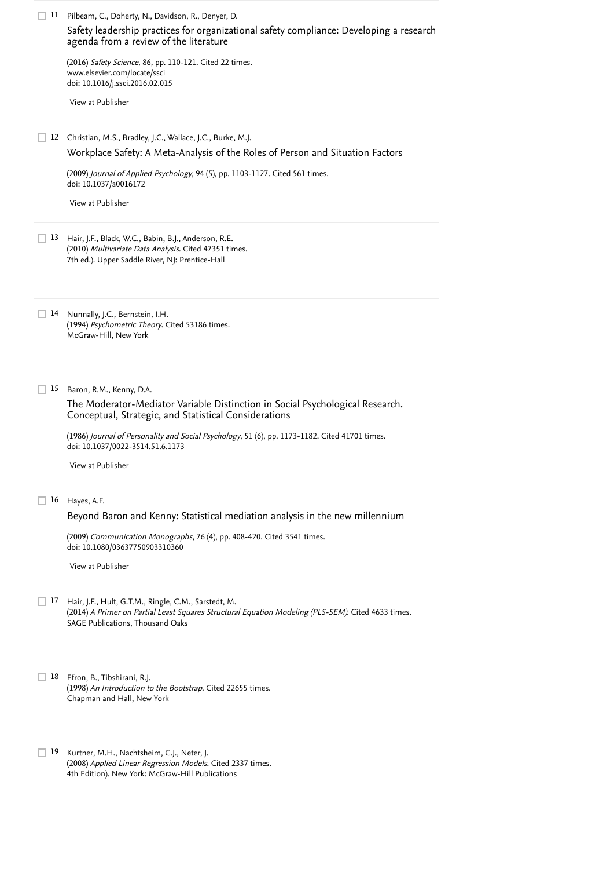|    | 11 Pilbeam, C., Doherty, N., Davidson, R., Denyer, D.<br>Safety leadership practices for organizational safety compliance: Developing a research<br>agenda from a review of the literature<br>(2016) Safety Science, 86, pp. 110-121. Cited 22 times. |
|----|-------------------------------------------------------------------------------------------------------------------------------------------------------------------------------------------------------------------------------------------------------|
|    | www.elsevier.com/locate/ssci<br>doi: 10.1016/j.ssci.2016.02.015                                                                                                                                                                                       |
|    | View at Publisher                                                                                                                                                                                                                                     |
| 12 | Christian, M.S., Bradley, J.C., Wallace, J.C., Burke, M.J.<br>Workplace Safety: A Meta-Analysis of the Roles of Person and Situation Factors                                                                                                          |
|    | (2009) Journal of Applied Psychology, 94 (5), pp. 1103-1127. Cited 561 times.<br>doi: 10.1037/a0016172                                                                                                                                                |
|    | View at Publisher                                                                                                                                                                                                                                     |
| 13 | Hair, J.F., Black, W.C., Babin, B.J., Anderson, R.E.<br>(2010) Multivariate Data Analysis. Cited 47351 times.<br>7th ed.). Upper Saddle River, NJ: Prentice-Hall                                                                                      |
|    | 14 Nunnally, J.C., Bernstein, I.H.<br>(1994) Psychometric Theory. Cited 53186 times.<br>McGraw-Hill, New York                                                                                                                                         |
| 15 | Baron, R.M., Kenny, D.A.<br>The Moderator-Mediator Variable Distinction in Social Psychological Research.<br>Conceptual, Strategic, and Statistical Considerations                                                                                    |
|    | (1986) Journal of Personality and Social Psychology, 51 (6), pp. 1173-1182. Cited 41701 times.<br>doi: 10.1037/0022-3514.51.6.1173                                                                                                                    |
|    | View at Publisher                                                                                                                                                                                                                                     |
| 16 | Hayes, A.F.                                                                                                                                                                                                                                           |
|    | Beyond Baron and Kenny: Statistical mediation analysis in the new millennium                                                                                                                                                                          |
|    | (2009) Communication Monographs, 76 (4), pp. 408-420. Cited 3541 times.<br>doi: 10.1080/03637750903310360                                                                                                                                             |
|    | View at Publisher                                                                                                                                                                                                                                     |
| 17 | Hair, J.F., Hult, G.T.M., Ringle, C.M., Sarstedt, M.<br>(2014) A Primer on Partial Least Squares Structural Equation Modeling (PLS-SEM). Cited 4633 times.<br>SAGE Publications, Thousand Oaks                                                        |
| 18 | Efron, B., Tibshirani, R.J.<br>(1998) An Introduction to the Bootstrap. Cited 22655 times.<br>Chapman and Hall, New York                                                                                                                              |
| 19 | Kurtner, M.H., Nachtsheim, C.J., Neter, J.<br>(2008) Applied Linear Regression Models. Cited 2337 times.<br>4th Edition). New York: McGraw-Hill Publications                                                                                          |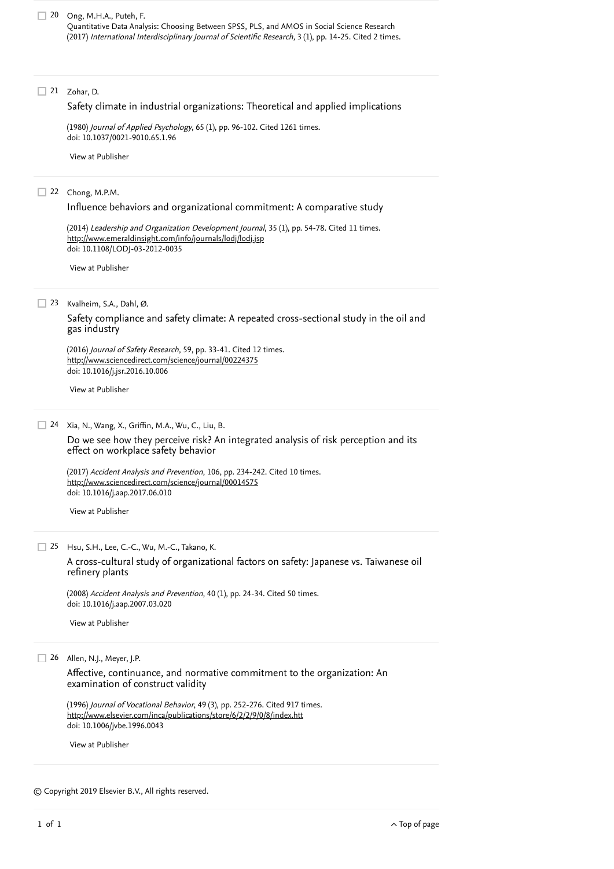#### 21 Zohar, D.

#### [Safety climate in industrial organizations: Theoretical and applied implications](https://www.scopus.com/record/display.uri?eid=2-s2.0-0018979343&origin=reflist&recordRank=)

(1980) *Journal of Applied Psychology*, 65 (1), pp. 96-102. [Cited 1261 times](https://www.scopus.com/search/submit/citedby.uri?eid=2-s2.0-85069874732&refeid=2-s2.0-0018979343&src=s&origin=reflist&refstat=core). doi: 10.1037/0021-9010.65.1.96

[View at Publisher](https://www.scopus.com/redirect/linking.uri?targetURL=https%3a%2f%2fdoi.org%2f10.1037%2f0021-9010.65.1.96&locationID=3&categoryID=4&eid=2-s2.0-0018979343&issn=00219010&linkType=ViewAtPublisher&year=1980&origin=reflist&dig=33ead631a75eac2324b6042a6feffacc&recordRank=)

#### 22 Chong, M.P.M.

[Influence behaviors and organizational commitment: A comparative study](https://www.scopus.com/record/display.uri?eid=2-s2.0-84893515340&origin=reflist&recordRank=)

(2014) *Leadership and Organization Development Journal*, 35 (1), pp. 54-78. [Cited 11 times](https://www.scopus.com/search/submit/citedby.uri?eid=2-s2.0-85069874732&refeid=2-s2.0-84893515340&src=s&origin=reflist&refstat=core). doi: 10.1108/LODJ-03-2012-0035 <http://www.emeraldinsight.com/info/journals/lodj/lodj.jsp>

[View at Publisher](https://www.scopus.com/redirect/linking.uri?targetURL=https%3a%2f%2fdoi.org%2f10.1108%2fLODJ-03-2012-0035&locationID=3&categoryID=4&eid=2-s2.0-84893515340&issn=01437739&linkType=ViewAtPublisher&year=2014&origin=reflist&dig=d9f2048ea376176806237cef6f0e85b2&recordRank=)

Kvalheim, S.A., Dahl, Ø. 23

[Safety compliance and safety climate: A repeated cross-sectional study in the oil and](https://www.scopus.com/record/display.uri?eid=2-s2.0-84992388197&origin=reflist&recordRank=) gas industry

(2016) *Journal of Safety Research*, 59, pp. 33-41. [Cited 12 times](https://www.scopus.com/search/submit/citedby.uri?eid=2-s2.0-85069874732&refeid=2-s2.0-84992388197&src=s&origin=reflist&refstat=core). doi: 10.1016/j.jsr.2016.10.006 <http://www.sciencedirect.com/science/journal/00224375>

[View at Publisher](https://www.scopus.com/redirect/linking.uri?targetURL=https%3a%2f%2fdoi.org%2f10.1016%2fj.jsr.2016.10.006&locationID=3&categoryID=4&eid=2-s2.0-84992388197&issn=00224375&linkType=ViewAtPublisher&year=2016&origin=reflist&dig=4e70000fa5d380ed81d5bb5e60d541b9&recordRank=)

#### Xia, N., Wang, X., Griffin, M.A., Wu, C., Liu, B. 24

[Do we see how they perceive risk? An integrated analysis of risk perception and its](https://www.scopus.com/record/display.uri?eid=2-s2.0-85020874693&origin=reflist&recordRank=) effect on workplace safety behavior

(2017) *Accident Analysis and Prevention*, 106, pp. 234-242. [Cited 10 times](https://www.scopus.com/search/submit/citedby.uri?eid=2-s2.0-85069874732&refeid=2-s2.0-85020874693&src=s&origin=reflist&refstat=core).<br><u><http://www.sciencedirect.com/science/journal/00014575></u> doi: 10.1016/j.aap.2017.06.010

[View at Publisher](https://www.scopus.com/redirect/linking.uri?targetURL=https%3a%2f%2fdoi.org%2f10.1016%2fj.aap.2017.06.010&locationID=3&categoryID=4&eid=2-s2.0-85020874693&issn=00014575&linkType=ViewAtPublisher&year=2017&origin=reflist&dig=2e60f5099a6f4ed9fd17987f3990eb37&recordRank=)

Hsu, S.H., Lee, C.-C., Wu, M.-C., Takano, K. 25

[A cross-cultural study of organizational factors on safety: Japanese vs. Taiwanese oil](https://www.scopus.com/record/display.uri?eid=2-s2.0-38149008095&origin=reflist&recordRank=) refinery plants

(2008) *Accident Analysis and Prevention*, 40 (1), pp. 24-34. [Cited 50 times](https://www.scopus.com/search/submit/citedby.uri?eid=2-s2.0-85069874732&refeid=2-s2.0-38149008095&src=s&origin=reflist&refstat=core).<br>doi: 10.1016/j.aap.2007.03.020<br>[View at Publisher](https://www.scopus.com/redirect/linking.uri?targetURL=https%3a%2f%2fdoi.org%2f10.1016%2fj.aap.2007.03.020&locationID=3&categoryID=4&eid=2-s2.0-38149008095&issn=00014575&linkType=ViewAtPublisher&year=2008&origin=reflist&dig=6cd40742977bb87230217de7a42b1c93&recordRank=) doi: 10.1016/j.aap.2007.03.020

26 Allen, N.J., Meyer, J.P.

[Affective, continuance, and normative commitment to the organization: An](https://www.scopus.com/record/display.uri?eid=2-s2.0-0030529067&origin=reflist&recordRank=) examination of construct validity

(1996) *Journal of Vocational Behavior*, 49 (3), pp. 252-276. [Cited 917 times](https://www.scopus.com/search/submit/citedby.uri?eid=2-s2.0-85069874732&refeid=2-s2.0-0030529067&src=s&origin=reflist&refstat=core). doi: 10.1006/jvbe.1996.0043 <http://www.elsevier.com/inca/publications/store/6/2/2/9/0/8/index.htt>

[View at Publisher](https://www.scopus.com/redirect/linking.uri?targetURL=https%3a%2f%2fdoi.org%2f10.1006%2fjvbe.1996.0043&locationID=3&categoryID=4&eid=2-s2.0-0030529067&issn=00018791&linkType=ViewAtPublisher&year=1996&origin=reflist&dig=65859210b1bb8f5774a87cc032ef94d7&recordRank=)

© Copyright 2019 Elsevier B.V., All rights reserved.